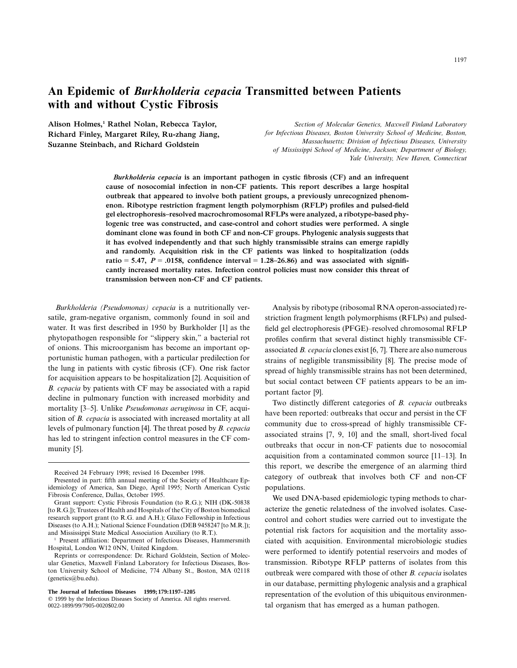# **An Epidemic of** *Burkholderia cepacia* **Transmitted between Patients with and without Cystic Fibrosis**

**Alison Holmes,1 Rathel Nolan, Rebecca Taylor, Richard Finley, Margaret Riley, Ru-zhang Jiang, Suzanne Steinbach, and Richard Goldstein**

*Section of Molecular Genetics, Maxwell Finland Laboratory for Infectious Diseases, Boston University School of Medicine, Boston, Massachusetts; Division of Infectious Diseases, University of Mississippi School of Medicine, Jackson; Department of Biology, Yale University, New Haven, Connecticut*

*Burkholderia cepacia* **is an important pathogen in cystic fibrosis (CF) and an infrequent cause of nosocomial infection in non-CF patients. This report describes a large hospital outbreak that appeared to involve both patient groups, a previously unrecognized phenomenon. Ribotype restriction fragment length polymorphism (RFLP) profiles and pulsed-field gel electrophoresis–resolved macrochromosomal RFLPs were analyzed, a ribotype-based phylogenic tree was constructed, and case-control and cohort studies were performed. A single dominant clone was found in both CF and non-CF groups. Phylogenic analysis suggests that it has evolved independently and that such highly transmissible strains can emerge rapidly and randomly. Acquisition risk in the CF patients was linked to hospitalization (odds**  $\text{ratio} = 5.47$ ,  $P = .0158$ , confidence interval  $= 1.28 - 26.86$ ) and was associated with signifi**cantly increased mortality rates. Infection control policies must now consider this threat of transmission between non-CF and CF patients.**

*Burkholderia (Pseudomonas) cepacia* is a nutritionally versatile, gram-negative organism, commonly found in soil and water. It was first described in 1950 by Burkholder [1] as the phytopathogen responsible for "slippery skin," a bacterial rot of onions. This microorganism has become an important opportunistic human pathogen, with a particular predilection for the lung in patients with cystic fibrosis (CF). One risk factor for acquisition appears to be hospitalization [2]. Acquisition of *B. cepacia* by patients with CF may be associated with a rapid decline in pulmonary function with increased morbidity and mortality [3–5]. Unlike *Pseudomonas aeruginosa* in CF, acquisition of *B. cepacia* is associated with increased mortality at all levels of pulmonary function [4]. The threat posed by *B. cepacia* has led to stringent infection control measures in the CF community [5].

**The Journal of Infectious Diseases 1999;179:1197–1205**

Analysis by ribotype (ribosomal RNA operon-associated) restriction fragment length polymorphisms (RFLPs) and pulsedfield gel electrophoresis (PFGE)–resolved chromosomal RFLP profiles confirm that several distinct highly transmissible CFassociated *B. cepacia* clones exist [6, 7]. There are also numerous strains of negligible transmissibility [8]. The precise mode of spread of highly transmissible strains has not been determined, but social contact between CF patients appears to be an important factor [9].

Two distinctly different categories of *B. cepacia* outbreaks have been reported: outbreaks that occur and persist in the CF community due to cross-spread of highly transmissible CFassociated strains [7, 9, 10] and the small, short-lived focal outbreaks that occur in non-CF patients due to nosocomial acquisition from a contaminated common source [11–13]. In this report, we describe the emergence of an alarming third category of outbreak that involves both CF and non-CF populations.

We used DNA-based epidemiologic typing methods to characterize the genetic relatedness of the involved isolates. Casecontrol and cohort studies were carried out to investigate the potential risk factors for acquisition and the mortality associated with acquisition. Environmental microbiologic studies were performed to identify potential reservoirs and modes of transmission. Ribotype RFLP patterns of isolates from this outbreak were compared with those of other *B. cepacia* isolates in our database, permitting phylogenic analysis and a graphical representation of the evolution of this ubiquitous environmental organism that has emerged as a human pathogen.

Received 24 February 1998; revised 16 December 1998.

Presented in part: fifth annual meeting of the Society of Healthcare Epidemiology of America, San Diego, April 1995; North American Cystic Fibrosis Conference, Dallas, October 1995.

Grant support: Cystic Fibrosis Foundation (to R.G.); NIH (DK-50838 [to R.G.]); Trustees of Health and Hospitals of the City of Boston biomedical research support grant (to R.G. and A.H.); Glaxo Fellowship in Infectious Diseases (to A.H.); National Science Foundation (DEB 9458247 [to M.R.]); and Mississippi State Medical Association Auxiliary (to R.T.).

Present affiliation: Department of Infectious Diseases, Hammersmith Hospital, London W12 0NN, United Kingdom.

Reprints or correspondence: Dr. Richard Goldstein, Section of Molecular Genetics, Maxwell Finland Laboratory for Infectious Diseases, Boston University School of Medicine, 774 Albany St., Boston, MA 02118 (genetics@bu.edu).

 $©$  1999 by the Infectious Diseases Society of America. All rights reserved. 0022-1899/99/7905-0020\$02.00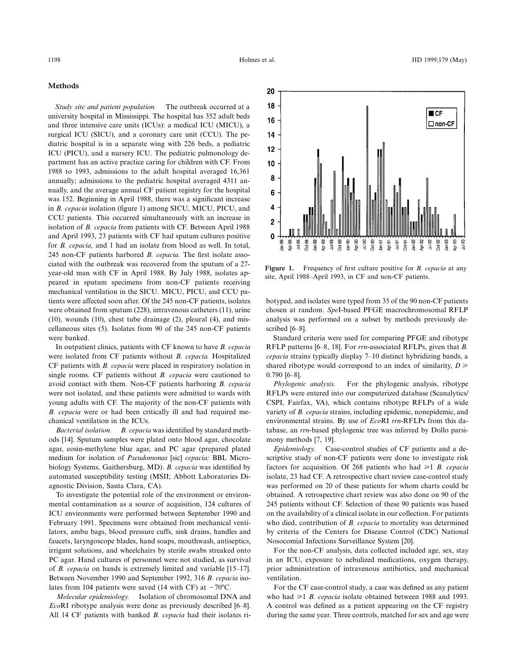## **Methods**

*Study site and patient population.* The outbreak occurred at a university hospital in Mississippi. The hospital has 352 adult beds and three intensive care units (ICUs): a medical ICU (MICU), a surgical ICU (SICU), and a coronary care unit (CCU). The pediatric hospital is in a separate wing with 226 beds, a pediatric ICU (PICU), and a nursery ICU. The pediatric pulmonology department has an active practice caring for children with CF. From 1988 to 1993, admissions to the adult hospital averaged 16,361 annually; admissions to the pediatric hospital averaged 4311 annually, and the average annual CF patient registry for the hospital was 152. Beginning in April 1988, there was a significant increase in *B. cepacia* isolation (figure 1) among SICU, MICU, PICU, and CCU patients. This occurred simultaneously with an increase in isolation of *B. cepacia* from patients with CF. Between April 1988 and April 1993, 23 patients with CF had sputum cultures positive for *B. cepacia,* and 1 had an isolate from blood as well. In total, 245 non-CF patients harbored *B. cepacia.* The first isolate associated with the outbreak was recovered from the sputum of a 27 year-old man with CF in April 1988. By July 1988, isolates appeared in sputum specimens from non-CF patients receiving mechanical ventilation in the SICU. MICU, PICU, and CCU patients were affected soon after. Of the 245 non-CF patients, isolates were obtained from sputum (228), intravenous catheters (11), urine (10), wounds (10), chest tube drainage (2), pleural (4), and miscellaneous sites (5). Isolates from 90 of the 245 non-CF patients were banked.

In outpatient clinics, patients with CF known to have *B. cepacia* were isolated from CF patients without *B. cepacia.* Hospitalized CF patients with *B. cepacia* were placed in respiratory isolation in single rooms. CF patients without *B. cepacia* were cautioned to avoid contact with them. Non-CF patients harboring *B. cepacia* were not isolated, and these patients were admitted to wards with young adults with CF. The majority of the non-CF patients with *B. cepacia* were or had been critically ill and had required mechanical ventilation in the ICUs.

*Bacterial isolation. B. cepacia* was identified by standard methods [14]. Sputum samples were plated onto blood agar, chocolate agar, eosin-methylene blue agar, and PC agar (prepared plated medium for isolation of *Pseudomonas* [sic] *cepacia;* BBL Microbiology Systems, Gaithersburg, MD). *B. cepacia* was identified by automated susceptibility testing (MSII; Abbott Laboratories Diagnostic Division, Santa Clara, CA).

To investigate the potential role of the environment or environmental contamination as a source of acquisition, 124 cultures of ICU environments were performed between September 1990 and February 1991. Specimens were obtained from mechanical ventilators, ambu bags, blood pressure cuffs, sink drains, handles and faucets, laryngoscope blades, hand soaps, mouthwash, antiseptics, irrigant solutions, and wheelchairs by sterile swabs streaked onto PC agar. Hand cultures of personnel were not studied, as survival of *B. cepacia* on hands is extremely limited and variable [15–17]. Between November 1990 and September 1992, 316 *B. cepacia* isolates from 104 patients were saved (14 with CF) at  $-70^{\circ}$ C.

*Molecular epidemiology.* Isolation of chromosomal DNA and *Eco*RI ribotype analysis were done as previously described [6–8]. All 14 CF patients with banked *B. cepacia* had their isolates ri-



**Figure 1.** Frequency of first culture positive for *B. cepacia* at any site, April 1988–April 1993, in CF and non-CF patients.

botyped, and isolates were typed from 35 of the 90 non-CF patients chosen at random. *Spe*I-based PFGE macrochromosomal RFLP analysis was performed on a subset by methods previously described [6–8].

Standard criteria were used for comparing PFGE and ribotype RFLP patterns [6–8, 18]. For *rrn*-associated RFLPs, given that *B. cepacia* strains typically display 7–10 distinct hybridizing bands, a shared ribotype would correspond to an index of similarity,  $D \ge$ 0.790 [6–8].

*Phylogenic analysis.* For the phylogenic analysis, ribotype RFLPs were entered into our computerized database (Scanalytics/ CSPI, Fairfax, VA), which contains ribotype RFLPs of a wide variety of *B. cepacia* strains, including epidemic, nonepidemic, and environmental strains. By use of *Eco*RI *rrn-*RFLPs from this database, an *rrn*-based phylogenic tree was inferred by Dollo parsimony methods [7, 19].

*Epidemiology.* Case-control studies of CF patients and a descriptive study of non-CF patients were done to investigate risk factors for acquisition. Of 268 patients who had  $\geq 1$  *B. cepacia* isolate, 23 had CF. A retrospective chart review case-control study was performed on 20 of these patients for whom charts could be obtained. A retrospective chart review was also done on 90 of the 245 patients without CF. Selection of these 90 patients was based on the availability of a clinical isolate in our collection. For patients who died, contribution of *B. cepacia* to mortality was determined by criteria of the Centers for Disease Control (CDC) National Nosocomial Infections Surveillance System [20].

For the non-CF analysis, data collected included age, sex, stay in an ICU, exposure to nebulized medications, oxygen therapy, prior administration of intravenous antibiotics, and mechanical ventilation.

For the CF case-control study, a case was defined as any patient who had  $\geq 1$  *B. cepacia* isolate obtained between 1988 and 1993. A control was defined as a patient appearing on the CF registry during the same year. Three controls, matched for sex and age were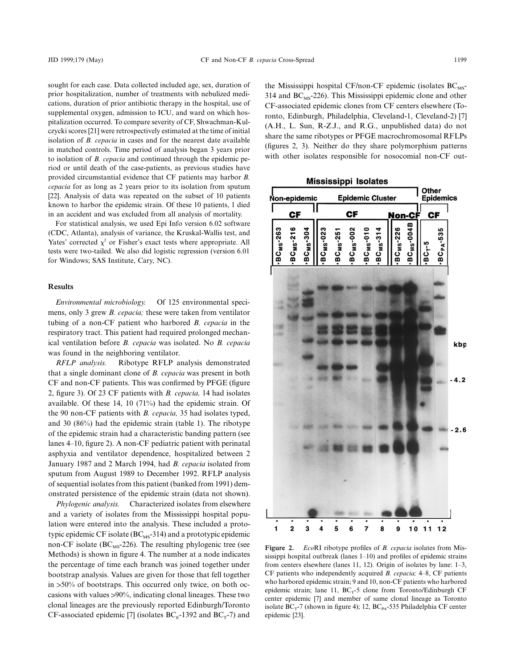sought for each case. Data collected included age, sex, duration of prior hospitalization, number of treatments with nebulized medications, duration of prior antibiotic therapy in the hospital, use of supplemental oxygen, admission to ICU, and ward on which hospitalization occurred. To compare severity of CF, Shwachman-Kulczycki scores [21] were retrospectively estimated at the time of initial isolation of *B. cepacia* in cases and for the nearest date available in matched controls. Time period of analysis began 3 years prior to isolation of *B. cepacia* and continued through the epidemic period or until death of the case-patients, as previous studies have provided circumstantial evidence that CF patients may harbor *B. cepacia* for as long as 2 years prior to its isolation from sputum [22]. Analysis of data was repeated on the subset of 10 patients known to harbor the epidemic strain. Of these 10 patients, 1 died in an accident and was excluded from all analysis of mortality.

For statistical analysis, we used Epi Info version 6.02 software (CDC, Atlanta), analysis of variance, the Kruskal-Wallis test, and Yates' corrected  $\chi^2$  or Fisher's exact tests where appropriate. All tests were two-tailed. We also did logistic regression (version 6.01 for Windows; SAS Institute, Cary, NC).

## **Results**

*Environmental microbiology.* Of 125 environmental specimens, only 3 grew *B. cepacia;* these were taken from ventilator tubing of a non-CF patient who harbored *B. cepacia* in the respiratory tract. This patient had required prolonged mechanical ventilation before *B. cepacia* was isolated. No *B. cepacia* was found in the neighboring ventilator.

*RFLP analysis.* Ribotype RFLP analysis demonstrated that a single dominant clone of *B. cepacia* was present in both CF and non-CF patients. This was confirmed by PFGE (figure 2, figure 3). Of 23 CF patients with *B. cepacia,* 14 had isolates available. Of these 14, 10 (71%) had the epidemic strain. Of the 90 non-CF patients with *B. cepacia,* 35 had isolates typed, and 30 (86%) had the epidemic strain (table 1). The ribotype of the epidemic strain had a characteristic banding pattern (see lanes 4–10, figure 2). A non-CF pediatric patient with perinatal asphyxia and ventilator dependence, hospitalized between 2 January 1987 and 2 March 1994, had *B. cepacia* isolated from sputum from August 1989 to December 1992. RFLP analysis of sequential isolates from this patient (banked from 1991) demonstrated persistence of the epidemic strain (data not shown).

*Phylogenic analysis.* Characterized isolates from elsewhere and a variety of isolates from the Mississippi hospital population were entered into the analysis. These included a prototypic epidemic CF isolate (BC<sub>MS</sub>-314) and a prototypic epidemic non-CF isolate ( $BC_{MS}$ -226). The resulting phylogenic tree (see Methods) is shown in figure 4. The number at a node indicates the percentage of time each branch was joined together under bootstrap analysis. Values are given for those that fell together in  $>50\%$  of bootstraps. This occurred only twice, on both occasions with values >90%, indicating clonal lineages. These two clonal lineages are the previously reported Edinburgh/Toronto CF-associated epidemic [7] (isolates  $BC<sub>E</sub>$ -1392 and  $BC<sub>T</sub>$ -7) and

the Mississippi hospital CF/non-CF epidemic (isolates  $BC_{MS}$ -314 and  $BC_{MS}$ -226). This Mississippi epidemic clone and other CF-associated epidemic clones from CF centers elsewhere (Toronto, Edinburgh, Philadelphia, Cleveland-1, Cleveland-2) [7] (A.H., L. Sun, R-Z.J., and R.G., unpublished data) do not share the same ribotypes or PFGE macrochromosomal RFLPs (figures 2, 3). Neither do they share polymorphism patterns with other isolates responsible for nosocomial non-CF out-



**Figure 2.** *Eco*RI ribotype profiles of *B. cepacia* isolates from Mississippi hospital outbreak (lanes 1–10) and profiles of epidemic strains from centers elsewhere (lanes 11, 12). Origin of isolates by lane: 1–3, CF patients who independently acquired *B. cepacia;* 4–8, CF patients who harbored epidemic strain; 9 and 10, non-CF patients who harbored epidemic strain; lane 11,  $BC_T-5$  clone from Toronto/Edinburgh CF center epidemic [7] and member of same clonal lineage as Toronto isolate  $BC_T$ -7 (shown in figure 4); 12,  $BC_{PA}$ -535 Philadelphia CF center epidemic [23].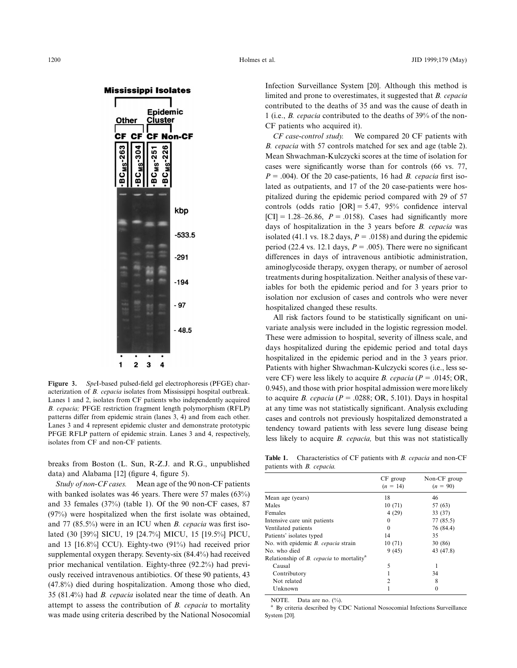

**Figure 3.** *Spe*I-based pulsed-field gel electrophoresis (PFGE) characterization of *B. cepacia* isolates from Mississippi hospital outbreak. Lanes 1 and 2, isolates from CF patients who independently acquired *B. cepacia;* PFGE restriction fragment length polymorphism (RFLP) patterns differ from epidemic strain (lanes 3, 4) and from each other. Lanes 3 and 4 represent epidemic cluster and demonstrate prototypic PFGE RFLP pattern of epidemic strain. Lanes 3 and 4, respectively, isolates from CF and non-CF patients.

breaks from Boston (L. Sun, R-Z.J. and R.G., unpublished data) and Alabama [12] (figure 4, figure 5).

*Study of non-CF cases.* Mean age of the 90 non-CF patients with banked isolates was 46 years. There were 57 males (63%) and 33 females (37%) (table 1). Of the 90 non-CF cases, 87 (97%) were hospitalized when the first isolate was obtained, and 77 (85.5%) were in an ICU when *B. cepacia* was first isolated (30 [39%] SICU, 19 [24.7%] MICU, 15 [19.5%] PICU, and 13 [16.8%] CCU). Eighty-two (91%) had received prior supplemental oxygen therapy. Seventy-six (84.4%) had received prior mechanical ventilation. Eighty-three (92.2%) had previously received intravenous antibiotics. Of these 90 patients, 43 (47.8%) died during hospitalization. Among those who died, 35 (81.4%) had *B. cepacia* isolated near the time of death. An attempt to assess the contribution of *B. cepacia* to mortality was made using criteria described by the National Nosocomial Infection Surveillance System [20]. Although this method is limited and prone to overestimates, it suggested that *B. cepacia* contributed to the deaths of 35 and was the cause of death in 1 (i.e., *B. cepacia* contributed to the deaths of 39% of the non-CF patients who acquired it).

*CF case-control study.* We compared 20 CF patients with *B. cepacia* with 57 controls matched for sex and age (table 2). Mean Shwachman-Kulczycki scores at the time of isolation for cases were significantly worse than for controls (66 vs. 77,  $P = .004$ ). Of the 20 case-patients, 16 had *B. cepacia* first isolated as outpatients, and 17 of the 20 case-patients were hospitalized during the epidemic period compared with 29 of 57 controls (odds ratio  $[OR] = 5.47$ , 95% confidence interval  $[CI] = 1.28 - 26.86$ ,  $P = .0158$ ). Cases had significantly more days of hospitalization in the 3 years before *B. cepacia* was isolated (41.1 vs. 18.2 days,  $P = .0158$ ) and during the epidemic period (22.4 vs. 12.1 days,  $P = .005$ ). There were no significant differences in days of intravenous antibiotic administration, aminoglycoside therapy, oxygen therapy, or number of aerosol treatments during hospitalization. Neither analysis of these variables for both the epidemic period and for 3 years prior to isolation nor exclusion of cases and controls who were never hospitalized changed these results.

All risk factors found to be statistically significant on univariate analysis were included in the logistic regression model. These were admission to hospital, severity of illness scale, and days hospitalized during the epidemic period and total days hospitalized in the epidemic period and in the 3 years prior. Patients with higher Shwachman-Kulczycki scores (i.e., less severe CF) were less likely to acquire *B. cepacia* ( $P = .0145$ ; OR, 0.945), and those with prior hospital admission were more likely to acquire *B. cepacia* ( $P = .0288$ ; OR, 5.101). Days in hospital at any time was not statistically significant. Analysis excluding cases and controls not previously hospitalized demonstrated a tendency toward patients with less severe lung disease being less likely to acquire *B. cepacia,* but this was not statistically

**Table 1.** Characteristics of CF patients with *B. cepacia* and non-CF patients with *B. cepacia.*

| $CF$ group<br>$(n = 14)$ | Non-CF group<br>$(n = 90)$ |
|--------------------------|----------------------------|
| 18                       | 46                         |
| 10(71)                   | 57 (63)                    |
| 4(29)                    | 33 (37)                    |
| $\Omega$                 | 77 (85.5)                  |
| $\Omega$                 | 76 (84.4)                  |
| 14                       | 35                         |
| 10(71)                   | 30 (86)                    |
| 9(45)                    | 43 (47.8)                  |
|                          |                            |
| 5                        | 1                          |
|                          | 34                         |
| 2                        | 8                          |
|                          | 0                          |
|                          |                            |

NOTE. Data are no. (%).<br><sup>a</sup> By criteria described by CDC National Nosocomial Infections Surveillance System [20].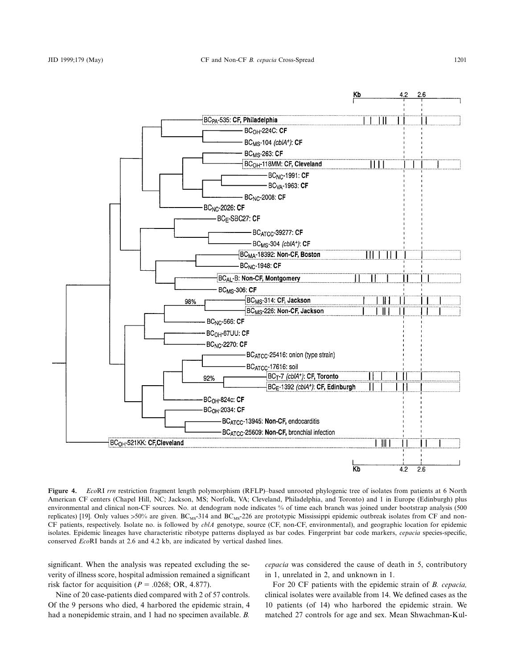

**Figure 4.** *Eco*RI *rrn* restriction fragment length polymorphism (RFLP)–based unrooted phylogenic tree of isolates from patients at 6 North American CF centers (Chapel Hill, NC; Jackson, MS; Norfolk, VA; Cleveland, Philadelphia, and Toronto) and 1 in Europe (Edinburgh) plus environmental and clinical non-CF sources. No. at dendogram node indicates % of time each branch was joined under bootstrap analysis (500 replicates) [19]. Only values  $>50\%$  are given. BC<sub>MS</sub>-314 and BC<sub>MS</sub>-226 are prototypic Mississippi epidemic outbreak isolates from CF and non-CF patients, respectively. Isolate no. is followed by *cblA* genotype, source (CF, non-CF, environmental), and geographic location for epidemic isolates. Epidemic lineages have characteristic ribotype patterns displayed as bar codes. Fingerprint bar code markers, *cepacia* species-specific, conserved *Eco*RI bands at 2.6 and 4.2 kb, are indicated by vertical dashed lines.

significant. When the analysis was repeated excluding the severity of illness score, hospital admission remained a significant risk factor for acquisition ( $P = .0268$ ; OR, 4.877).

*cepacia* was considered the cause of death in 5, contributory in 1, unrelated in 2, and unknown in 1.

Nine of 20 case-patients died compared with 2 of 57 controls. Of the 9 persons who died, 4 harbored the epidemic strain, 4 had a nonepidemic strain, and 1 had no specimen available. *B.*

For 20 CF patients with the epidemic strain of *B. cepacia,* clinical isolates were available from 14. We defined cases as the 10 patients (of 14) who harbored the epidemic strain. We matched 27 controls for age and sex. Mean Shwachman-Kul-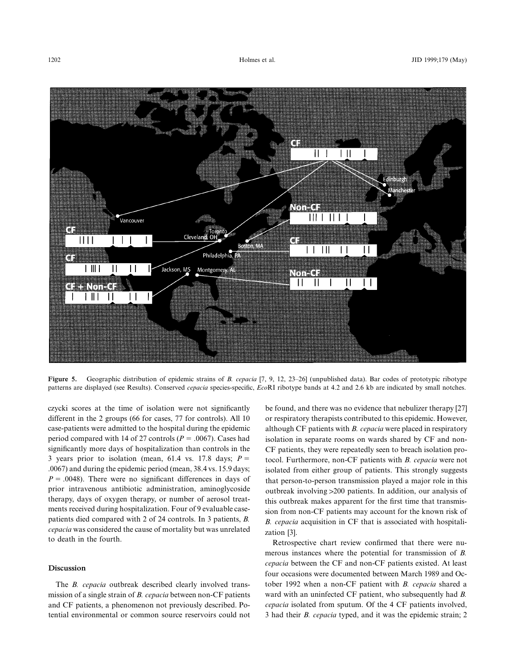

**Figure 5.** Geographic distribution of epidemic strains of *B. cepacia* [7, 9, 12, 23–26] (unpublished data). Bar codes of prototypic ribotype patterns are displayed (see Results). Conserved *cepacia* species-specific, *Eco*RI ribotype bands at 4.2 and 2.6 kb are indicated by small notches.

czycki scores at the time of isolation were not significantly different in the 2 groups (66 for cases, 77 for controls). All 10 case-patients were admitted to the hospital during the epidemic period compared with 14 of 27 controls ( $P = .0067$ ). Cases had significantly more days of hospitalization than controls in the 3 years prior to isolation (mean, 61.4 vs. 17.8 days;  $P =$ .0067) and during the epidemic period (mean, 38.4 vs. 15.9 days;  $P = .0048$ ). There were no significant differences in days of prior intravenous antibiotic administration, aminoglycoside therapy, days of oxygen therapy, or number of aerosol treatments received during hospitalization. Four of 9 evaluable casepatients died compared with 2 of 24 controls. In 3 patients, *B. cepacia* was considered the cause of mortality but was unrelated to death in the fourth.

# **Discussion**

The *B. cepacia* outbreak described clearly involved transmission of a single strain of *B. cepacia* between non-CF patients and CF patients, a phenomenon not previously described. Potential environmental or common source reservoirs could not

be found, and there was no evidence that nebulizer therapy [27] or respiratory therapists contributed to this epidemic. However, although CF patients with *B. cepacia* were placed in respiratory isolation in separate rooms on wards shared by CF and non-CF patients, they were repeatedly seen to breach isolation protocol. Furthermore, non-CF patients with *B. cepacia* were not isolated from either group of patients. This strongly suggests that person-to-person transmission played a major role in this outbreak involving >200 patients. In addition, our analysis of this outbreak makes apparent for the first time that transmission from non-CF patients may account for the known risk of *B. cepacia* acquisition in CF that is associated with hospitalization [3].

Retrospective chart review confirmed that there were numerous instances where the potential for transmission of *B. cepacia* between the CF and non-CF patients existed. At least four occasions were documented between March 1989 and October 1992 when a non-CF patient with *B. cepacia* shared a ward with an uninfected CF patient, who subsequently had *B. cepacia* isolated from sputum. Of the 4 CF patients involved, 3 had their *B. cepacia* typed, and it was the epidemic strain; 2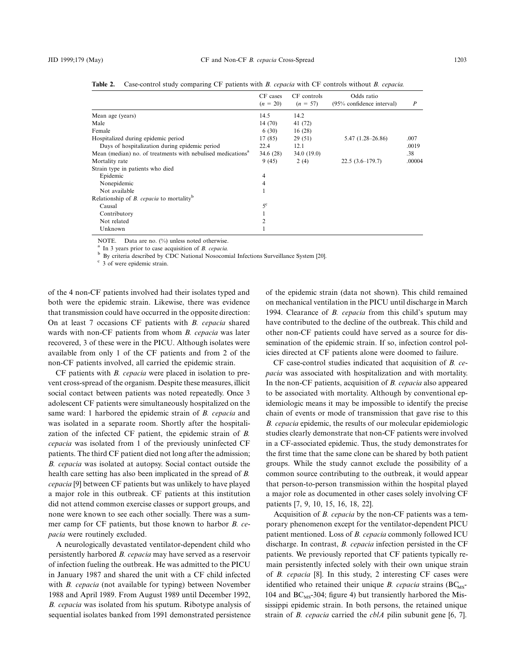|                                                                         | CF cases<br>$(n = 20)$ | CF controls | Odds ratio<br>(95% confidence interval) | $\boldsymbol{P}$ |
|-------------------------------------------------------------------------|------------------------|-------------|-----------------------------------------|------------------|
|                                                                         |                        | $(n = 57)$  |                                         |                  |
| Mean age (years)                                                        | 14.5                   | 14.2        |                                         |                  |
| Male                                                                    | 14(70)                 | 41 (72)     |                                         |                  |
| Female                                                                  | 6(30)                  | 16(28)      |                                         |                  |
| Hospitalized during epidemic period                                     | 17 (85)                | 29(51)      | $5.47(1.28-26.86)$                      | .007             |
| Days of hospitalization during epidemic period                          | 22.4                   | 12.1        |                                         | .0019            |
| Mean (median) no. of treatments with nebulised medications <sup>a</sup> | 34.6(28)               | 34.0(19.0)  |                                         | .38              |
| Mortality rate                                                          | 9(45)                  | 2(4)        | $22.5(3.6-179.7)$                       | .00004           |
| Strain type in patients who died                                        |                        |             |                                         |                  |
| Epidemic                                                                | 4                      |             |                                         |                  |
| Nonepidemic                                                             | 4                      |             |                                         |                  |
| Not available                                                           |                        |             |                                         |                  |
| Relationship of $B$ . cepacia to mortality <sup>b</sup>                 |                        |             |                                         |                  |
| Causal                                                                  | $5^{\circ}$            |             |                                         |                  |
| Contributory                                                            |                        |             |                                         |                  |
| Not related                                                             | 2                      |             |                                         |                  |
| Unknown                                                                 |                        |             |                                         |                  |

**Table 2.** Case-control study comparing CF patients with *B. cepacia* with CF controls without *B. cepacia.*

NOTE. Data are no. (%) unless noted otherwise.<br>
<sup>a</sup> In 3 years prior to case acquisition of *B. cepacia.*<br>
<sup>b</sup> By criteria described by CDC National Nosocomial Infections Surveillance System [20].<br>
<sup>c</sup> 3 of were epidemic

of the 4 non-CF patients involved had their isolates typed and both were the epidemic strain. Likewise, there was evidence that transmission could have occurred in the opposite direction: On at least 7 occasions CF patients with *B. cepacia* shared wards with non-CF patients from whom *B. cepacia* was later recovered, 3 of these were in the PICU. Although isolates were available from only 1 of the CF patients and from 2 of the non-CF patients involved, all carried the epidemic strain.

CF patients with *B. cepacia* were placed in isolation to prevent cross-spread of the organism. Despite these measures, illicit social contact between patients was noted repeatedly. Once 3 adolescent CF patients were simultaneously hospitalized on the same ward: 1 harbored the epidemic strain of *B. cepacia* and was isolated in a separate room. Shortly after the hospitalization of the infected CF patient, the epidemic strain of *B. cepacia* was isolated from 1 of the previously uninfected CF patients. The third CF patient died not long after the admission; *B. cepacia* was isolated at autopsy. Social contact outside the health care setting has also been implicated in the spread of *B. cepacia* [9] between CF patients but was unlikely to have played a major role in this outbreak. CF patients at this institution did not attend common exercise classes or support groups, and none were known to see each other socially. There was a summer camp for CF patients, but those known to harbor *B. cepacia* were routinely excluded.

A neurologically devastated ventilator-dependent child who persistently harbored *B. cepacia* may have served as a reservoir of infection fueling the outbreak. He was admitted to the PICU in January 1987 and shared the unit with a CF child infected with *B. cepacia* (not available for typing) between November 1988 and April 1989. From August 1989 until December 1992, *B. cepacia* was isolated from his sputum. Ribotype analysis of sequential isolates banked from 1991 demonstrated persistence of the epidemic strain (data not shown). This child remained on mechanical ventilation in the PICU until discharge in March 1994. Clearance of *B. cepacia* from this child's sputum may have contributed to the decline of the outbreak. This child and other non-CF patients could have served as a source for dissemination of the epidemic strain. If so, infection control policies directed at CF patients alone were doomed to failure.

CF case-control studies indicated that acquisition of *B. cepacia* was associated with hospitalization and with mortality. In the non-CF patients, acquisition of *B. cepacia* also appeared to be associated with mortality. Although by conventional epidemiologic means it may be impossible to identify the precise chain of events or mode of transmission that gave rise to this *B. cepacia* epidemic, the results of our molecular epidemiologic studies clearly demonstrate that non-CF patients were involved in a CF-associated epidemic. Thus, the study demonstrates for the first time that the same clone can be shared by both patient groups. While the study cannot exclude the possibility of a common source contributing to the outbreak, it would appear that person-to-person transmission within the hospital played a major role as documented in other cases solely involving CF patients [7, 9, 10, 15, 16, 18, 22].

Acquisition of *B. cepacia* by the non-CF patients was a temporary phenomenon except for the ventilator-dependent PICU patient mentioned. Loss of *B. cepacia* commonly followed ICU discharge. In contrast, *B. cepacia* infection persisted in the CF patients. We previously reported that CF patients typically remain persistently infected solely with their own unique strain of *B. cepacia* [8]. In this study, 2 interesting CF cases were identified who retained their unique *B. cepacia* strains  $(BC_{MS} - BC_{MS})$ 104 and  $BC_{MS}$ -304; figure 4) but transiently harbored the Mississippi epidemic strain. In both persons, the retained unique strain of *B. cepacia* carried the *cblA* pilin subunit gene [6, 7].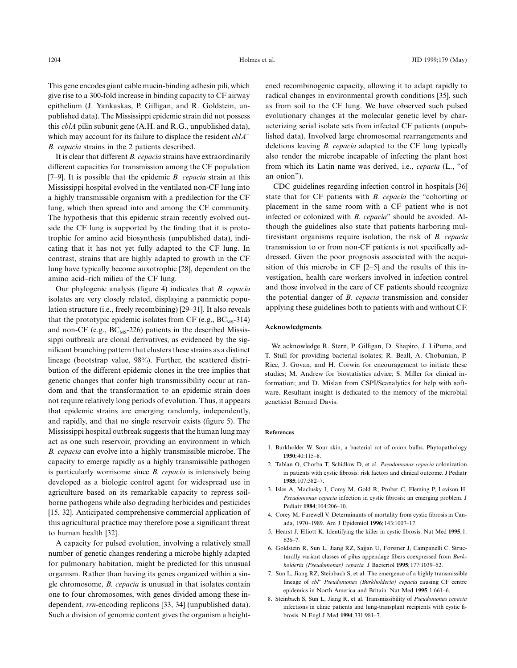This gene encodes giant cable mucin-binding adhesin pili, which give rise to a 300-fold increase in binding capacity to CF airway epithelium (J. Yankaskas, P. Gilligan, and R. Goldstein, unpublished data). The Mississippi epidemic strain did not possess this *cblA* pilin subunit gene (A.H. and R.G., unpublished data), which may account for its failure to displace the resident *cblA*<sup>+</sup> *B. cepacia* strains in the 2 patients described.

It is clear that different *B. cepacia* strains have extraordinarily different capacities for transmission among the CF population [7–9]. It is possible that the epidemic *B. cepacia* strain at this Mississippi hospital evolved in the ventilated non-CF lung into a highly transmissible organism with a predilection for the CF lung, which then spread into and among the CF community. The hypothesis that this epidemic strain recently evolved outside the CF lung is supported by the finding that it is prototrophic for amino acid biosynthesis (unpublished data), indicating that it has not yet fully adapted to the CF lung. In contrast, strains that are highly adapted to growth in the CF lung have typically become auxotrophic [28], dependent on the amino acid–rich milieu of the CF lung.

Our phylogenic analysis (figure 4) indicates that *B. cepacia* isolates are very closely related, displaying a panmictic population structure (i.e., freely recombining) [29–31]. It also reveals that the prototypic epidemic isolates from CF (e.g.,  $BC_{MS}$ -314) and non-CF (e.g.,  $BC_{MS}$ -226) patients in the described Mississippi outbreak are clonal derivatives, as evidenced by the significant branching pattern that clusters these strains as a distinct lineage (bootstrap value, 98%). Further, the scattered distribution of the different epidemic clones in the tree implies that genetic changes that confer high transmissibility occur at random and that the transformation to an epidemic strain does not require relatively long periods of evolution. Thus, it appears that epidemic strains are emerging randomly, independently, and rapidly, and that no single reservoir exists (figure 5). The Mississippi hospital outbreak suggests that the human lung may act as one such reservoir, providing an environment in which *B. cepacia* can evolve into a highly transmissible microbe. The capacity to emerge rapidly as a highly transmissible pathogen is particularly worrisome since *B. cepacia* is intensively being developed as a biologic control agent for widespread use in agriculture based on its remarkable capacity to repress soilborne pathogens while also degrading herbicides and pesticides [15, 32]. Anticipated comprehensive commercial application of this agricultural practice may therefore pose a significant threat to human health [32].

A capacity for pulsed evolution, involving a relatively small number of genetic changes rendering a microbe highly adapted for pulmonary habitation, might be predicted for this unusual organism. Rather than having its genes organized within a single chromosome, *B. cepacia* is unusual in that isolates contain one to four chromosomes, with genes divided among these independent, *rrn*-encoding replicons [33, 34] (unpublished data). Such a division of genomic content gives the organism a heightened recombinogenic capacity, allowing it to adapt rapidly to radical changes in environmental growth conditions [35], such as from soil to the CF lung. We have observed such pulsed evolutionary changes at the molecular genetic level by characterizing serial isolate sets from infected CF patients (unpublished data). Involved large chromosomal rearrangements and deletions leaving *B. cepacia* adapted to the CF lung typically also render the microbe incapable of infecting the plant host from which its Latin name was derived, i.e., *cepacia* (L., "of an onion").

CDC guidelines regarding infection control in hospitals [36] state that for CF patients with *B. cepacia* the "cohorting or placement in the same room with a CF patient who is not infected or colonized with *B. cepacia*" should be avoided. Although the guidelines also state that patients harboring multiresistant organisms require isolation, the risk of *B. cepacia* transmission to or from non-CF patients is not specifically addressed. Given the poor prognosis associated with the acquisition of this microbe in CF [2–5] and the results of this investigation, health care workers involved in infection control and those involved in the care of CF patients should recognize the potential danger of *B. cepacia* transmission and consider applying these guidelines both to patients with and without CF.

#### **Acknowledgments**

We acknowledge R. Stern, P. Gilligan, D. Shapiro, J. LiPuma, and T. Stull for providing bacterial isolates; R. Beall, A. Chobanian, P. Rice, J. Govan, and H. Corwin for encouragement to initiate these studies; M. Andrew for biostatistics advice; S. Miller for clinical information; and D. Mislan from CSPI/Scanalytics for help with software. Resultant insight is dedicated to the memory of the microbial geneticist Bernard Davis.

### **References**

- 1. Burkholder W. Sour skin, a bacterial rot of onion bulbs. Phytopathology **1950**;40:115–8.
- 2. Tablan O, Chorba T, Schidlow D, et al. *Pseudomonas cepacia* colonization in patients with cystic fibrosis: risk factors and clinical outcome. J Pediatr **1985**;107:382–7.
- 3. Isles A, Maclusky I, Corey M, Gold R, Prober C, Fleming P, Levison H. *Pseudomonas cepacia* infection in cystic fibrosis: an emerging problem. J Pediatr **1984**;104:206–10.
- 4. Corey M, Farewell V. Determinants of mortality from cystic fibrosis in Canada, 1970–1989. Am J Epidemiol **1996**;143:1007–17.
- 5. Hearst J, Elliott K. Identifying the killer in cystic fibrosis. Nat Med **1995**;1: 626–7.
- 6. Goldstein R, Sun L, Jiang RZ, Sajjan U, Forstner J, Campanelli C. Structurally variant classes of pilus appendage fibers coexpressed from *Burkholderia (Pseudomonas) cepacia.* J Bacteriol **1995**;177:1039–52.
- 7. Sun L, Jiang RZ, Steinbach S, et al. The emergence of a highly transmissible lineage of *cbl<sup>+</sup> Pseudomonas (Burkholderia) cepacia* causing CF centre epidemics in North America and Britain. Nat Med **1995**;1:661–6.
- 8. Steinbach S, Sun L, Jiang R, et al. Transmissibility of *Pseudomonas cepacia* infections in clinic patients and lung-transplant recipients with cystic fibrosis. N Engl J Med **1994**;331:981–7.